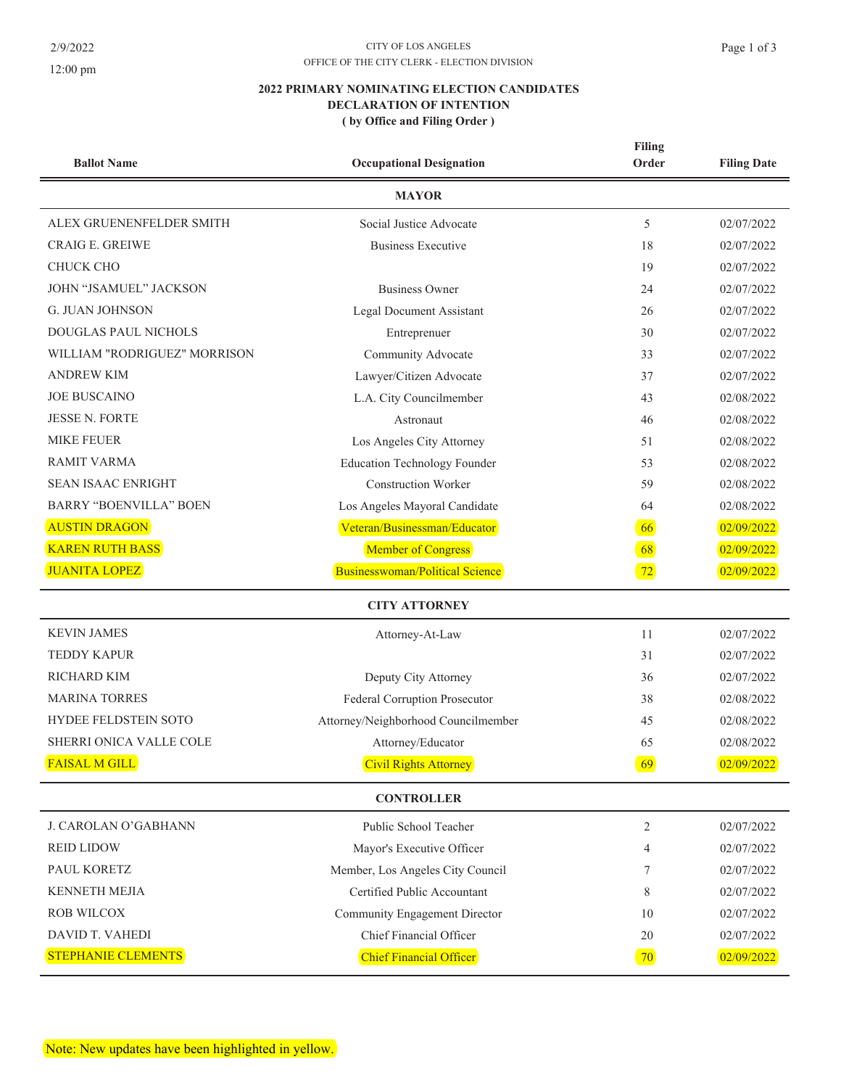## 12:00 pm

#### $\text{CITY}$  OF LOS ANGELES OFFICE OF THE CITY CLERK - ELECTION DIVISION

# 2022 PRIMARY NOMINATING ELECTION CANDIDATES DECLARATION OF INTENTION (by Office and Filing Order)

| <b>Ballot Name</b>            | <b>Occupational Designation</b>     | <b>Filing</b><br>Order | <b>Filing Date</b> |
|-------------------------------|-------------------------------------|------------------------|--------------------|
|                               | <b>MAYOR</b>                        |                        |                    |
| ALEX GRUENENFELDER SMITH      | Social Justice Advocate             | 5                      | 02/07/2022         |
| <b>CRAIG E. GREIWE</b>        | <b>Business Executive</b>           | 18                     | 02/07/2022         |
| <b>CHUCK CHO</b>              |                                     | 19                     | 02/07/2022         |
| JOHN "JSAMUEL" JACKSON        | <b>Business Owner</b>               | 24                     | 02/07/2022         |
| <b>G. JUAN JOHNSON</b>        | <b>Legal Document Assistant</b>     | 26                     | 02/07/2022         |
| <b>DOUGLAS PAUL NICHOLS</b>   | Entreprenuer                        | 30                     | 02/07/2022         |
| WILLIAM "RODRIGUEZ" MORRISON  | Community Advocate                  | 33                     | 02/07/2022         |
| <b>ANDREW KIM</b>             | Lawyer/Citizen Advocate             | 37                     | 02/07/2022         |
| <b>JOE BUSCAINO</b>           | L.A. City Councilmember             | 43                     | 02/08/2022         |
| <b>JESSE N. FORTE</b>         | Astronaut                           | 46                     | 02/08/2022         |
| <b>MIKE FEUER</b>             | Los Angeles City Attorney           | 51                     | 02/08/2022         |
| RAMIT VARMA                   | <b>Education Technology Founder</b> | 53                     | 02/08/2022         |
| <b>SEAN ISAAC ENRIGHT</b>     | <b>Construction Worker</b>          | 59                     | 02/08/2022         |
| <b>BARRY "BOENVILLA" BOEN</b> | Los Angeles Mayoral Candidate       | 64                     | 02/08/2022         |
| <b>AUSTIN DRAGON</b>          | Veteran/Businessman/Educator        | 66                     | 02/09/2022         |
| <b>KAREN RUTH BASS</b>        | Member of Congress                  | 68                     | 02/09/2022         |
| <b>JUANITA LOPEZ</b>          | Businesswoman/Political Science     | 72                     | 02/09/2022         |
|                               | <b>CITY ATTORNEY</b>                |                        |                    |
| <b>KEVIN JAMES</b>            | Attorney-At-Law                     | 11                     | 02/07/2022         |
| <b>TEDDY KAPUR</b>            |                                     | 31                     | 02/07/2022         |
| <b>RICHARD KIM</b>            | Deputy City Attorney                | 36                     | 02/07/2022         |
| <b>MARINA TORRES</b>          | Federal Corruption Prosecutor       | 38                     | 02/08/2022         |
| <b>HYDEE FELDSTEIN SOTO</b>   | Attorney/Neighborhood Councilmember | 45                     | 02/08/2022         |
| SHERRI ONICA VALLE COLE       | Attorney/Educator                   | 65                     | 02/08/2022         |
| <b>FAISAL M GILL</b>          | <b>Civil Rights Attorney</b>        | 69                     | 02/09/2022         |
|                               | <b>CONTROLLER</b>                   |                        |                    |
| J. CAROLAN O'GABHANN          | Public School Teacher               | 2                      | 02/07/2022         |
| <b>REID LIDOW</b>             | Mayor's Executive Officer           | 4                      | 02/07/2022         |
| PAUL KORETZ                   | Member, Los Angeles City Council    | 7                      | 02/07/2022         |
| <b>KENNETH MEJIA</b>          | Certified Public Accountant         | 8                      | 02/07/2022         |
| <b>ROB WILCOX</b>             | Community Engagement Director       | 10                     | 02/07/2022         |
| DAVID T. VAHEDI               | Chief Financial Officer             | 20                     | 02/07/2022         |
| STEPHANIE CLEMENTS            | Chief Financial Officer             | 70                     | 02/09/2022         |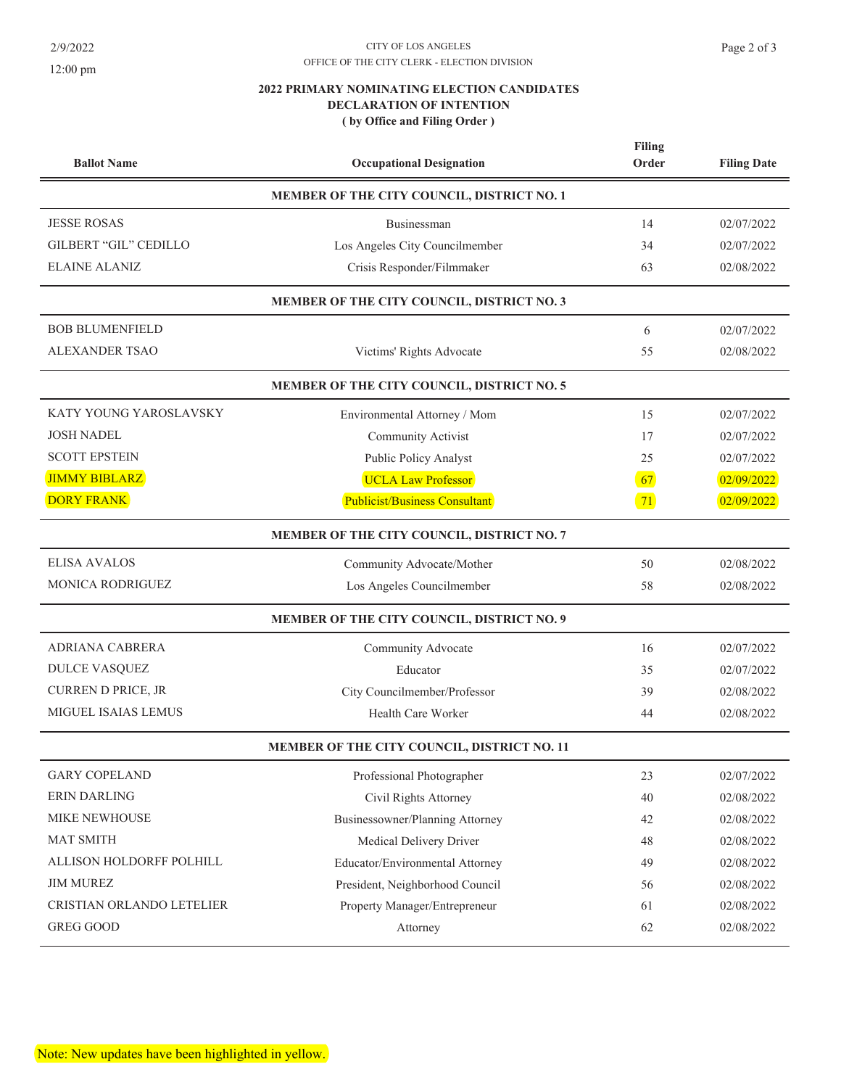$2/9/2022$ 

# 12:00 pm

#### $\text{CITY}$  OF LOS ANGELES OFFICE OF THE CITY CLERK - ELECTION DIVISION

# 2022 PRIMARY NOMINATING ELECTION CANDIDATES DECLARATION OF INTENTION (by Office and Filing Order)

| <b>Ballot Name</b>                          | <b>Occupational Designation</b>            | Filing<br>Order | <b>Filing Date</b> |  |  |
|---------------------------------------------|--------------------------------------------|-----------------|--------------------|--|--|
| MEMBER OF THE CITY COUNCIL, DISTRICT NO. 1  |                                            |                 |                    |  |  |
| <b>JESSE ROSAS</b>                          | Businessman                                | 14              | 02/07/2022         |  |  |
| <b>GILBERT "GIL" CEDILLO</b>                | Los Angeles City Councilmember             | 34              | 02/07/2022         |  |  |
| <b>ELAINE ALANIZ</b>                        | Crisis Responder/Filmmaker                 | 63              | 02/08/2022         |  |  |
|                                             | MEMBER OF THE CITY COUNCIL, DISTRICT NO. 3 |                 |                    |  |  |
| <b>BOB BLUMENFIELD</b>                      |                                            | 6               | 02/07/2022         |  |  |
| <b>ALEXANDER TSAO</b>                       | Victims' Rights Advocate                   | 55              | 02/08/2022         |  |  |
| MEMBER OF THE CITY COUNCIL, DISTRICT NO. 5  |                                            |                 |                    |  |  |
| KATY YOUNG YAROSLAVSKY                      | Environmental Attorney / Mom               | 15              | 02/07/2022         |  |  |
| <b>JOSH NADEL</b>                           | <b>Community Activist</b>                  | 17              | 02/07/2022         |  |  |
| <b>SCOTT EPSTEIN</b>                        | Public Policy Analyst                      | 25              | 02/07/2022         |  |  |
| <b>JIMMY BIBLARZ</b>                        | <b>UCLA Law Professor</b>                  | 67              | 02/09/2022         |  |  |
| <b>DORY FRANK</b>                           | Publicist/Business Consultant              | 71              | 02/09/2022         |  |  |
| MEMBER OF THE CITY COUNCIL, DISTRICT NO. 7  |                                            |                 |                    |  |  |
| <b>ELISA AVALOS</b>                         | Community Advocate/Mother                  | 50              | 02/08/2022         |  |  |
| <b>MONICA RODRIGUEZ</b>                     | Los Angeles Councilmember                  | 58              | 02/08/2022         |  |  |
|                                             | MEMBER OF THE CITY COUNCIL, DISTRICT NO. 9 |                 |                    |  |  |
| <b>ADRIANA CABRERA</b>                      | Community Advocate                         | 16              | 02/07/2022         |  |  |
| DULCE VASQUEZ                               | Educator                                   | 35              | 02/07/2022         |  |  |
| CURREN D PRICE, JR                          | City Councilmember/Professor               | 39              | 02/08/2022         |  |  |
| MIGUEL ISAIAS LEMUS                         | Health Care Worker                         | 44              | 02/08/2022         |  |  |
| MEMBER OF THE CITY COUNCIL, DISTRICT NO. 11 |                                            |                 |                    |  |  |
| <b>GARY COPELAND</b>                        | Professional Photographer                  | 23              | 02/07/2022         |  |  |
| ERIN DARLING                                | Civil Rights Attorney                      | 40              | 02/08/2022         |  |  |
| MIKE NEWHOUSE                               | Businessowner/Planning Attorney            | 42              | 02/08/2022         |  |  |
| <b>MAT SMITH</b>                            | Medical Delivery Driver                    | 48              | 02/08/2022         |  |  |
| ALLISON HOLDORFF POLHILL                    | Educator/Environmental Attorney            | 49              | 02/08/2022         |  |  |
| <b>JIM MUREZ</b>                            | President, Neighborhood Council            | 56              | 02/08/2022         |  |  |
| CRISTIAN ORLANDO LETELIER                   | Property Manager/Entrepreneur              | 61              | 02/08/2022         |  |  |
| <b>GREG GOOD</b>                            | Attorney                                   | 62              | 02/08/2022         |  |  |